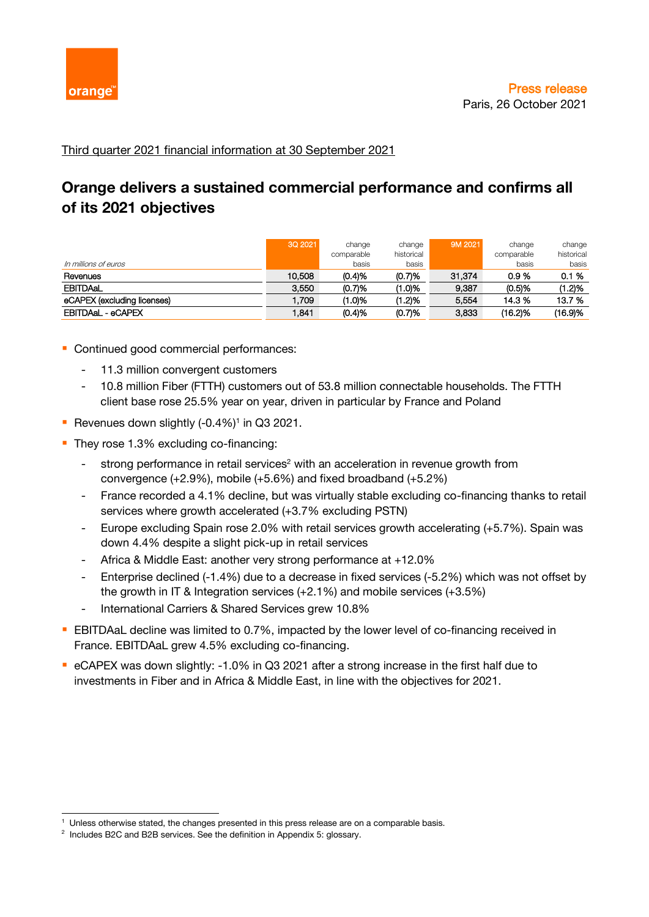

Third quarter 2021 financial information at 30 September 2021

# **Orange delivers a sustained commercial performance and confirms all of its 2021 objectives**

| In millions of euros        | 3Q 2021 | change<br>comparable<br>basis | change<br>historical<br>basis | 9M 2021 | change<br>comparable<br>basis | change<br>historical<br>basis |
|-----------------------------|---------|-------------------------------|-------------------------------|---------|-------------------------------|-------------------------------|
| Revenues                    | 10.508  | (0.4)%                        | (0.7)%                        | 31.374  | 0.9%                          | 0.1%                          |
| <b>EBITDAAL</b>             | 3.550   | (0.7)%                        | (1.0)%                        | 9.387   | (0.5)%                        | $1.2\%$                       |
| eCAPEX (excluding licenses) | .709    | (1.0)%                        | (1.2)%                        | 5.554   | 14.3 %                        | 13.7 %                        |
| EBITDAaL - eCAPEX           | .841    | (0.4)%                        | (0.7)%                        | 3,833   | (16.2)%                       | (16.9)%                       |

- Continued good commercial performances:
	- 11.3 million convergent customers
	- 10.8 million Fiber (FTTH) customers out of 53.8 million connectable households. The FTTH client base rose 25.5% year on year, driven in particular by France and Poland
- Revenues down slightly (-0.4%)<sup>1</sup> in Q3 2021.
- **They rose 1.3% excluding co-financing:** 
	- strong performance in retail services<sup>2</sup> with an acceleration in revenue growth from convergence (+2.9%), mobile (+5.6%) and fixed broadband (+5.2%)
	- France recorded a 4.1% decline, but was virtually stable excluding co-financing thanks to retail services where growth accelerated (+3.7% excluding PSTN)
	- Europe excluding Spain rose 2.0% with retail services growth accelerating (+5.7%). Spain was down 4.4% despite a slight pick-up in retail services
	- Africa & Middle East: another very strong performance at +12.0%
	- Enterprise declined (-1.4%) due to a decrease in fixed services (-5.2%) which was not offset by the growth in IT & Integration services (+2.1%) and mobile services (+3.5%)
	- International Carriers & Shared Services grew 10.8%
- **EBITDAaL decline was limited to 0.7%, impacted by the lower level of co-financing received in** France. EBITDAaL grew 4.5% excluding co-financing.
- eCAPEX was down slightly: -1.0% in Q3 2021 after a strong increase in the first half due to investments in Fiber and in Africa & Middle East, in line with the objectives for 2021.

<sup>&</sup>lt;sup>1</sup> Unless otherwise stated, the changes presented in this press release are on a comparable basis.

<sup>&</sup>lt;sup>2</sup> Includes B2C and B2B services. See the definition in Appendix 5: glossary.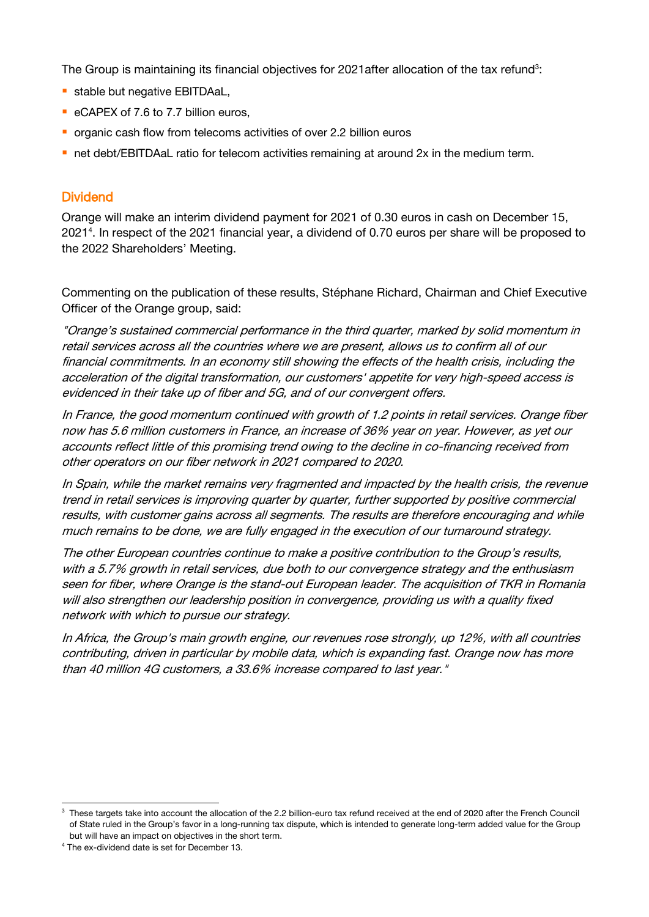The Group is maintaining its financial objectives for 2021 after allocation of the tax refund<sup>3</sup>:

- **•** stable but negative EBITDAaL,
- eCAPEX of 7.6 to 7.7 billion euros,
- organic cash flow from telecoms activities of over 2.2 billion euros
- **•** net debt/EBITDAaL ratio for telecom activities remaining at around 2x in the medium term.

#### Dividend

Orange will make an interim dividend payment for 2021 of 0.30 euros in cash on December 15, 2021<sup>4</sup> . In respect of the 2021 financial year, a dividend of 0.70 euros per share will be proposed to the 2022 Shareholders' Meeting.

Commenting on the publication of these results, Stéphane Richard, Chairman and Chief Executive Officer of the Orange group, said:

"Orange's sustained commercial performance in the third quarter, marked by solid momentum in retail services across all the countries where we are present, allows us to confirm all of our financial commitments. In an economy still showing the effects of the health crisis, including the acceleration of the digital transformation, our customers' appetite for very high-speed access is evidenced in their take up of fiber and 5G, and of our convergent offers.

In France, the good momentum continued with growth of 1.2 points in retail services. Orange fiber now has 5.6 million customers in France, an increase of 36% year on year. However, as yet our accounts reflect little of this promising trend owing to the decline in co-financing received from other operators on our fiber network in 2021 compared to 2020.

In Spain, while the market remains very fragmented and impacted by the health crisis, the revenue trend in retail services is improving quarter by quarter, further supported by positive commercial results, with customer gains across all segments. The results are therefore encouraging and while much remains to be done, we are fully engaged in the execution of our turnaround strategy.

The other European countries continue to make a positive contribution to the Group's results, with a 5.7% growth in retail services, due both to our convergence strategy and the enthusiasm seen for fiber, where Orange is the stand-out European leader. The acquisition of TKR in Romania will also strengthen our leadership position in convergence, providing us with a quality fixed network with which to pursue our strategy.

In Africa, the Group's main growth engine, our revenues rose strongly, up 12%, with all countries contributing, driven in particular by mobile data, which is expanding fast. Orange now has more than 40 million 4G customers, a 33.6% increase compared to last year."

<sup>&</sup>lt;sup>3</sup> These targets take into account the allocation of the 2.2 billion-euro tax refund received at the end of 2020 after the French Council of State ruled in the Group's favor in a long-running tax dispute, which is intended to generate long-term added value for the Group but will have an impact on objectives in the short term.

<sup>4</sup> The ex-dividend date is set for December 13.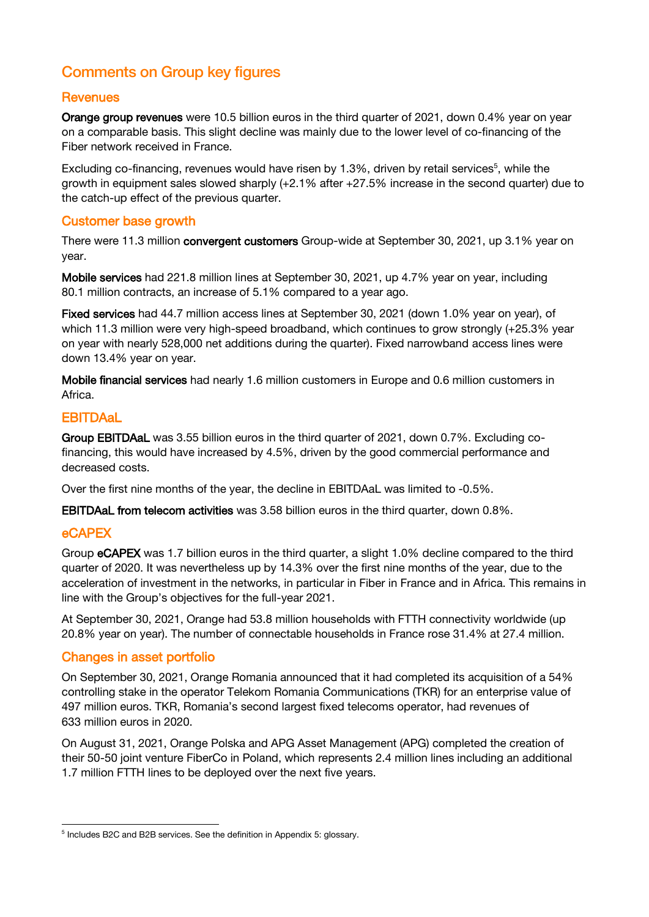## Comments on Group key figures

#### **Revenues**

Orange group revenues were 10.5 billion euros in the third quarter of 2021, down 0.4% year on year on a comparable basis. This slight decline was mainly due to the lower level of co-financing of the Fiber network received in France.

Excluding co-financing, revenues would have risen by 1.3%, driven by retail services<sup>5</sup>, while the growth in equipment sales slowed sharply (+2.1% after +27.5% increase in the second quarter) due to the catch-up effect of the previous quarter.

#### Customer base growth

There were 11.3 million convergent customers Group-wide at September 30, 2021, up 3.1% year on year.

Mobile services had 221.8 million lines at September 30, 2021, up 4.7% year on year, including 80.1 million contracts, an increase of 5.1% compared to a year ago.

Fixed services had 44.7 million access lines at September 30, 2021 (down 1.0% year on year), of which 11.3 million were very high-speed broadband, which continues to grow strongly (+25.3% year on year with nearly 528,000 net additions during the quarter). Fixed narrowband access lines were down 13.4% year on year.

Mobile financial services had nearly 1.6 million customers in Europe and 0.6 million customers in Africa.

### **EBITDAaL**

Group EBITDAaL was 3.55 billion euros in the third quarter of 2021, down 0.7%. Excluding cofinancing, this would have increased by 4.5%, driven by the good commercial performance and decreased costs.

Over the first nine months of the year, the decline in EBITDAaL was limited to -0.5%.

EBITDAaL from telecom activities was 3.58 billion euros in the third quarter, down 0.8%.

## eCAPEX

Group eCAPEX was 1.7 billion euros in the third quarter, a slight 1.0% decline compared to the third quarter of 2020. It was nevertheless up by 14.3% over the first nine months of the year, due to the acceleration of investment in the networks, in particular in Fiber in France and in Africa. This remains in line with the Group's objectives for the full-year 2021.

At September 30, 2021, Orange had 53.8 million households with FTTH connectivity worldwide (up 20.8% year on year). The number of connectable households in France rose 31.4% at 27.4 million.

#### Changes in asset portfolio

On September 30, 2021, Orange Romania announced that it had completed its acquisition of a 54% controlling stake in the operator Telekom Romania Communications (TKR) for an enterprise value of 497 million euros. TKR, Romania's second largest fixed telecoms operator, had revenues of 633 million euros in 2020.

On August 31, 2021, Orange Polska and APG Asset Management (APG) completed the creation of their 50-50 joint venture FiberCo in Poland, which represents 2.4 million lines including an additional 1.7 million FTTH lines to be deployed over the next five years.

<sup>&</sup>lt;sup>5</sup> Includes B2C and B2B services. See the definition in Appendix 5: glossary.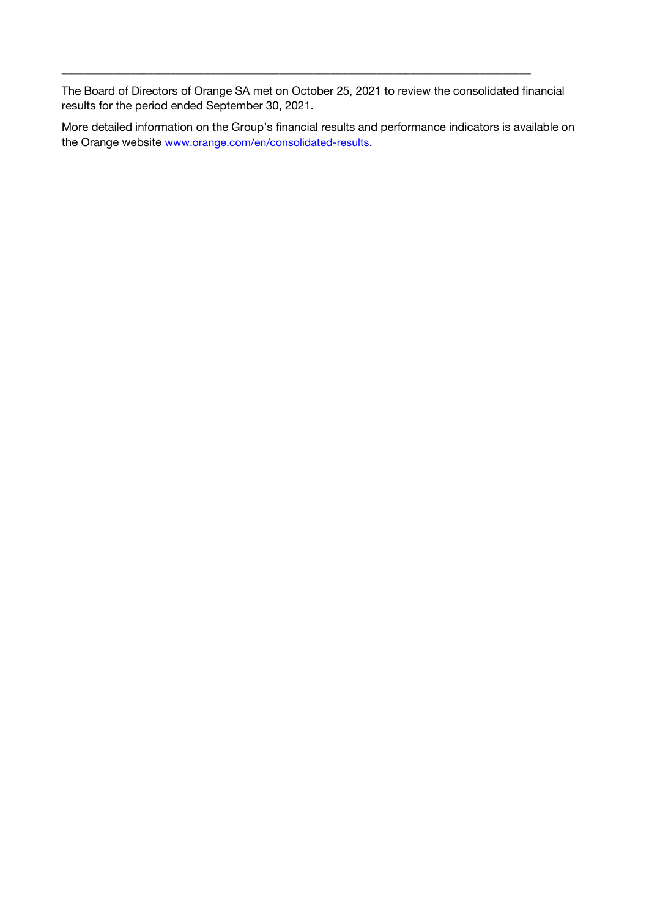The Board of Directors of Orange SA met on October 25, 2021 to review the consolidated financial results for the period ended September 30, 2021.

 $\_$  , and the set of the set of the set of the set of the set of the set of the set of the set of the set of the set of the set of the set of the set of the set of the set of the set of the set of the set of the set of th

More detailed information on the Group's financial results and performance indicators is available on the Orange website [www.orange.com/en/consolidated-results](https://www.orange.com/en/consolidated-results).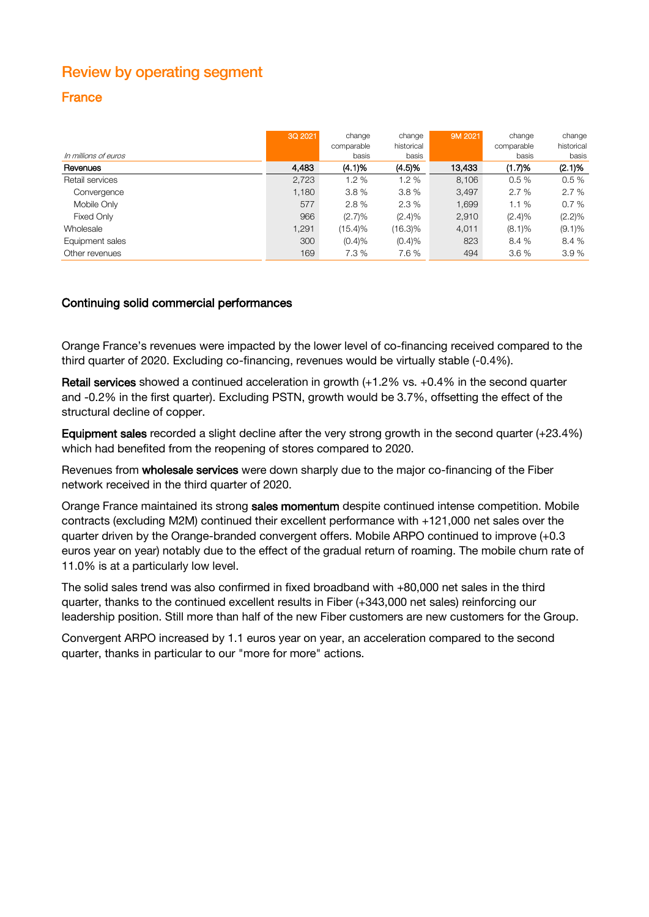## Review by operating segment

## France

|                      | 3Q 2021 | change<br>comparable | change<br>historical | 9M 2021 | change<br>comparable | change<br>historical |
|----------------------|---------|----------------------|----------------------|---------|----------------------|----------------------|
| In millions of euros |         | basis                | basis                |         | basis                | basis                |
| Revenues             | 4,483   | (4.1)%               | (4.5)%               | 13,433  | (1.7)%               | (2.1)%               |
| Retail services      | 2,723   | 1.2%                 | 1.2%                 | 8.106   | 0.5%                 | 0.5%                 |
| Convergence          | 1.180   | 3.8%                 | 3.8%                 | 3.497   | 2.7%                 | 2.7%                 |
| Mobile Only          | 577     | 2.8%                 | 2.3%                 | 1.699   | 1.1%                 | 0.7%                 |
| Fixed Only           | 966     | $(2.7)\%$            | $(2.4)\%$            | 2,910   | $(2.4)\%$            | $(2.2)\%$            |
| Wholesale            | 1,291   | $(15.4)\%$           | $(16.3)\%$           | 4,011   | $(8.1)\%$            | $(9.1)\%$            |
| Equipment sales      | 300     | (0.4)%               | (0.4)%               | 823     | 8.4%                 | 8.4%                 |
| Other revenues       | 169     | 7.3 %                | 7.6%                 | 494     | 3.6%                 | 3.9%                 |

#### Continuing solid commercial performances

Orange France's revenues were impacted by the lower level of co-financing received compared to the third quarter of 2020. Excluding co-financing, revenues would be virtually stable (-0.4%).

**Retail services** showed a continued acceleration in growth  $(+1.2\%$  vs.  $+0.4\%$  in the second quarter and -0.2% in the first quarter). Excluding PSTN, growth would be 3.7%, offsetting the effect of the structural decline of copper.

Equipment sales recorded a slight decline after the very strong growth in the second quarter (+23.4%) which had benefited from the reopening of stores compared to 2020.

Revenues from wholesale services were down sharply due to the major co-financing of the Fiber network received in the third quarter of 2020.

Orange France maintained its strong sales momentum despite continued intense competition. Mobile contracts (excluding M2M) continued their excellent performance with +121,000 net sales over the quarter driven by the Orange-branded convergent offers. Mobile ARPO continued to improve (+0.3 euros year on year) notably due to the effect of the gradual return of roaming. The mobile churn rate of 11.0% is at a particularly low level.

The solid sales trend was also confirmed in fixed broadband with +80,000 net sales in the third quarter, thanks to the continued excellent results in Fiber (+343,000 net sales) reinforcing our leadership position. Still more than half of the new Fiber customers are new customers for the Group.

Convergent ARPO increased by 1.1 euros year on year, an acceleration compared to the second quarter, thanks in particular to our "more for more" actions.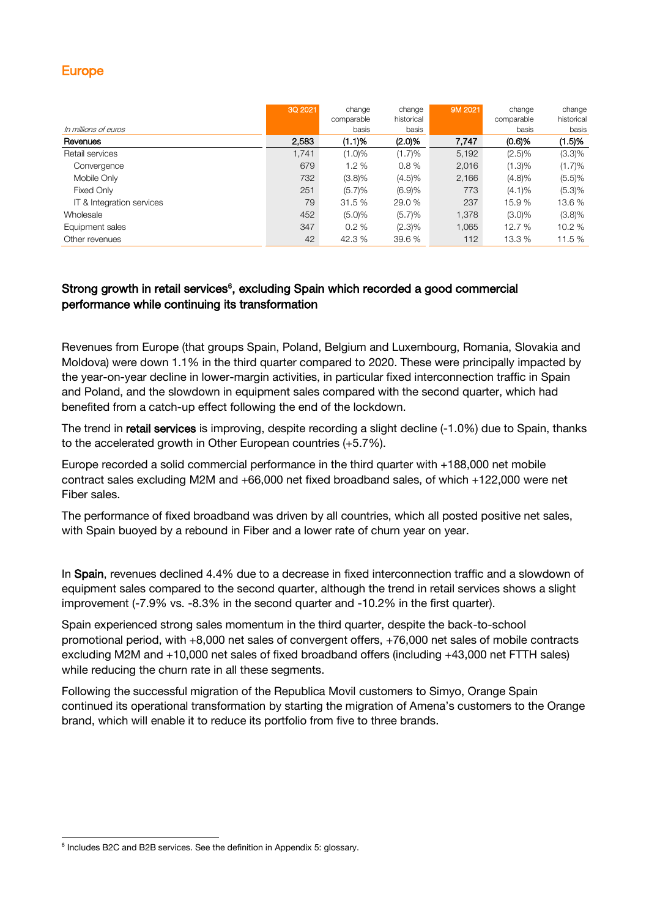### Europe

|                           | 3Q 2021 | change     | change     | 9M 2021 | change     | change     |
|---------------------------|---------|------------|------------|---------|------------|------------|
|                           |         | comparable | historical |         | comparable | historical |
| In millions of euros      |         | basis      | basis      |         | basis      | basis      |
| Revenues                  | 2,583   | (1.1)%     | (2.0)%     | 7,747   | (0.6)%     | (1.5)%     |
| Retail services           | 1.741   | $(1.0)\%$  | (1.7)%     | 5,192   | $(2.5)\%$  | $(3.3)\%$  |
| Convergence               | 679     | 1.2%       | 0.8%       | 2,016   | (1.3)%     | (1.7)%     |
| Mobile Only               | 732     | $(3.8)\%$  | $(4.5)\%$  | 2,166   | $(4.8)\%$  | (5.5)%     |
| Fixed Only                | 251     | (5.7)%     | (6.9)%     | 773     | $(4.1)\%$  | (5.3)%     |
| IT & Integration services | 79      | 31.5 %     | 29.0 %     | 237     | 15.9 %     | 13.6 %     |
| Wholesale                 | 452     | (5.0)%     | (5.7)%     | 1,378   | $(3.0)\%$  | $(3.8)\%$  |
| Equipment sales           | 347     | 0.2%       | $(2.3)\%$  | 1,065   | 12.7 %     | 10.2 %     |
| Other revenues            | 42      | 42.3 %     | 39.6 %     | 112     | 13.3 %     | 11.5 %     |

### Strong growth in retail services<sup>6</sup>, excluding Spain which recorded a good commercial performance while continuing its transformation

Revenues from Europe (that groups Spain, Poland, Belgium and Luxembourg, Romania, Slovakia and Moldova) were down 1.1% in the third quarter compared to 2020. These were principally impacted by the year-on-year decline in lower-margin activities, in particular fixed interconnection traffic in Spain and Poland, and the slowdown in equipment sales compared with the second quarter, which had benefited from a catch-up effect following the end of the lockdown.

The trend in retail services is improving, despite recording a slight decline (-1.0%) due to Spain, thanks to the accelerated growth in Other European countries (+5.7%).

Europe recorded a solid commercial performance in the third quarter with +188,000 net mobile contract sales excluding M2M and +66,000 net fixed broadband sales, of which +122,000 were net Fiber sales.

The performance of fixed broadband was driven by all countries, which all posted positive net sales, with Spain buoyed by a rebound in Fiber and a lower rate of churn year on year.

In Spain, revenues declined 4.4% due to a decrease in fixed interconnection traffic and a slowdown of equipment sales compared to the second quarter, although the trend in retail services shows a slight improvement (-7.9% vs. -8.3% in the second quarter and -10.2% in the first quarter).

Spain experienced strong sales momentum in the third quarter, despite the back-to-school promotional period, with +8,000 net sales of convergent offers, +76,000 net sales of mobile contracts excluding M2M and +10,000 net sales of fixed broadband offers (including +43,000 net FTTH sales) while reducing the churn rate in all these segments.

Following the successful migration of the Republica Movil customers to Simyo, Orange Spain continued its operational transformation by starting the migration of Amena's customers to the Orange brand, which will enable it to reduce its portfolio from five to three brands.

<sup>&</sup>lt;sup>6</sup> Includes B2C and B2B services. See the definition in Appendix 5: glossary.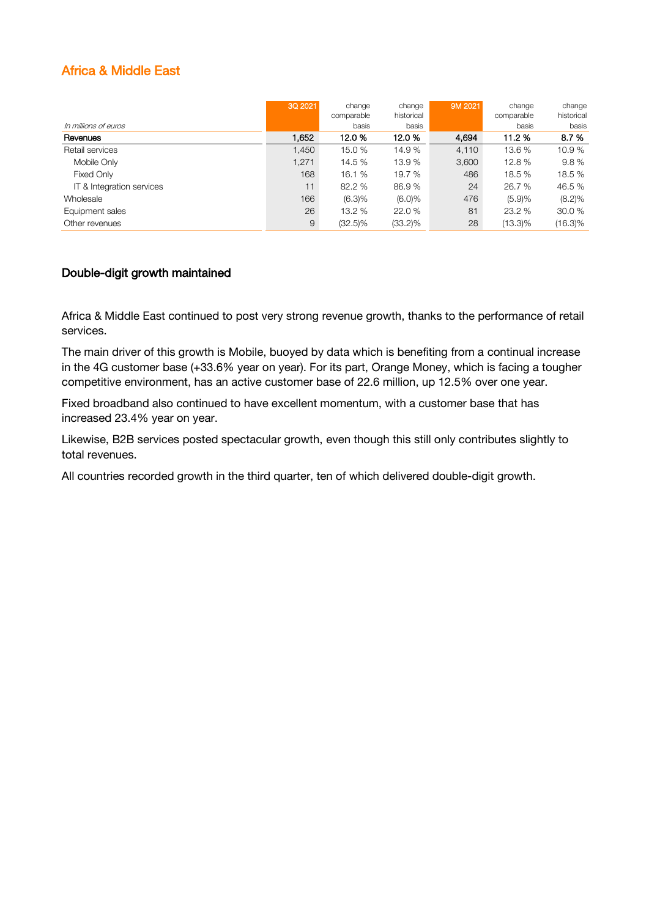## Africa & Middle East

|                           | 3Q 2021 | change<br>comparable | change<br>historical | 9M 2021 | change<br>comparable | change<br>historical |
|---------------------------|---------|----------------------|----------------------|---------|----------------------|----------------------|
| In millions of euros      |         | basis                | basis                |         | basis                | basis                |
| Revenues                  | 1.652   | 12.0%                | 12.0%                | 4.694   | 11.2 %               | 8.7%                 |
| Retail services           | 1.450   | 15.0 %               | 14.9 %               | 4,110   | 13.6%                | 10.9 %               |
| Mobile Only               | 1,271   | 14.5 %               | 13.9 %               | 3,600   | 12.8 %               | 9.8%                 |
| Fixed Only                | 168     | 16.1 %               | 19.7 %               | 486     | 18.5 %               | 18.5 %               |
| IT & Integration services | 11      | 82.2 %               | 86.9%                | 24      | 26.7 %               | 46.5 %               |
| Wholesale                 | 166     | (6.3)%               | $(6.0)\%$            | 476     | (5.9)%               | $(8.2)\%$            |
| Equipment sales           | 26      | 13.2%                | 22.0 %               | 81      | 23.2 %               | 30.0 %               |
| Other revenues            | 9       | (32.5)%              | $(33.2)\%$           | 28      | (13.3)%              | $(16.3)\%$           |

#### Double-digit growth maintained

Africa & Middle East continued to post very strong revenue growth, thanks to the performance of retail services.

The main driver of this growth is Mobile, buoyed by data which is benefiting from a continual increase in the 4G customer base (+33.6% year on year). For its part, Orange Money, which is facing a tougher competitive environment, has an active customer base of 22.6 million, up 12.5% over one year.

Fixed broadband also continued to have excellent momentum, with a customer base that has increased 23.4% year on year.

Likewise, B2B services posted spectacular growth, even though this still only contributes slightly to total revenues.

All countries recorded growth in the third quarter, ten of which delivered double-digit growth.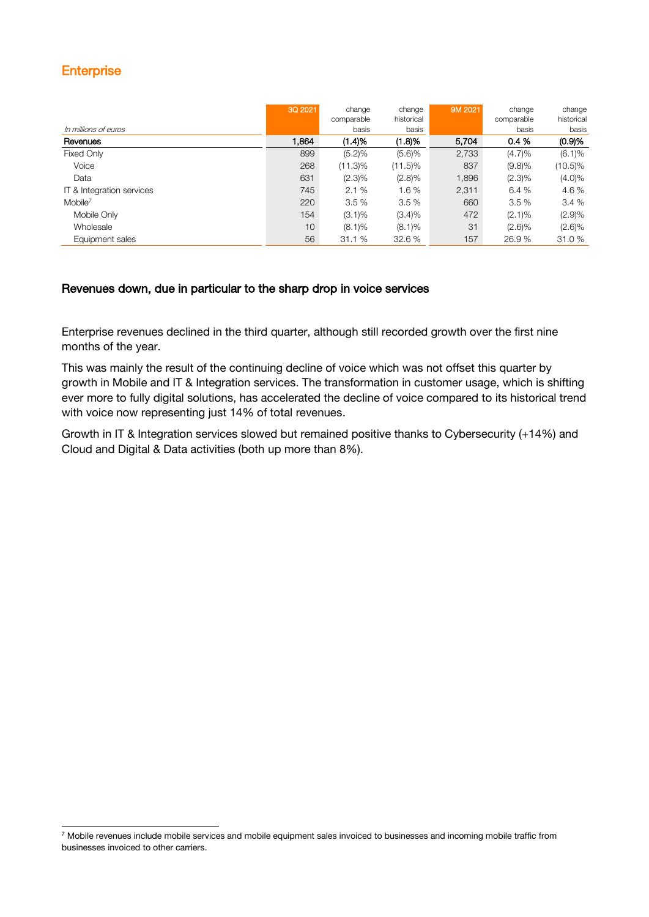## **Enterprise**

|                           | 3Q 2021 | change     | change     | 9M 2021 | change     | change     |
|---------------------------|---------|------------|------------|---------|------------|------------|
|                           |         | comparable | historical |         | comparable | historical |
| In millions of euros      |         | basis      | basis      |         | basis      | basis      |
| Revenues                  | 1.864   | (1.4)%     | (1.8)%     | 5,704   | 0.4%       | (0.9)%     |
| Fixed Only                | 899     | (5.2)%     | (5.6)%     | 2,733   | $(4.7)\%$  | (6.1)%     |
| Voice                     | 268     | $(11.3)\%$ | $(11.5)\%$ | 837     | (9.8)%     | (10.5)%    |
| Data                      | 631     | $(2.3)\%$  | $(2.8)\%$  | 1,896   | $(2.3)\%$  | $(4.0)\%$  |
| IT & Integration services | 745     | 2.1%       | 1.6%       | 2,311   | 6.4%       | 4.6 %      |
| $M$ obile <sup>7</sup>    | 220     | 3.5%       | 3.5%       | 660     | 3.5%       | 3.4%       |
| Mobile Only               | 154     | $(3.1)\%$  | $(3.4)\%$  | 472     | $(2.1)\%$  | (2.9)%     |
| Wholesale                 | 10      | $(8.1)\%$  | $(8.1)\%$  | 31      | $(2.6)\%$  | (2.6)%     |
| Equipment sales           | 56      | 31.1%      | 32.6 %     | 157     | 26.9 %     | 31.0 %     |

#### Revenues down, due in particular to the sharp drop in voice services

Enterprise revenues declined in the third quarter, although still recorded growth over the first nine months of the year.

This was mainly the result of the continuing decline of voice which was not offset this quarter by growth in Mobile and IT & Integration services. The transformation in customer usage, which is shifting ever more to fully digital solutions, has accelerated the decline of voice compared to its historical trend with voice now representing just 14% of total revenues.

Growth in IT & Integration services slowed but remained positive thanks to Cybersecurity (+14%) and Cloud and Digital & Data activities (both up more than 8%).

 $7$  Mobile revenues include mobile services and mobile equipment sales invoiced to businesses and incoming mobile traffic from businesses invoiced to other carriers.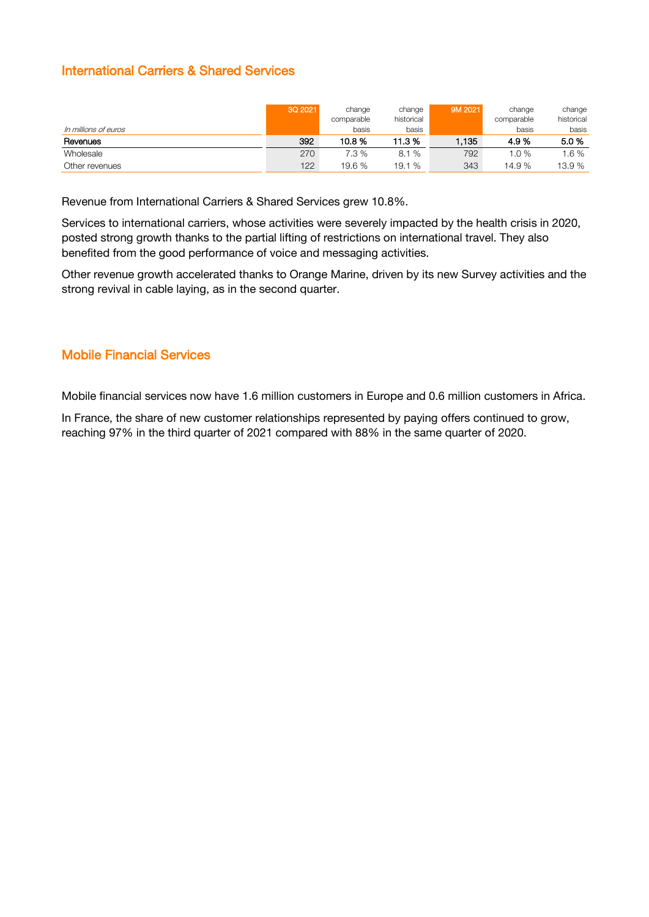### International Carriers & Shared Services

|                      | 3Q 2021 | change<br>comparable | change<br>historical | 9M 2021 | change<br>comparable | change<br>historical |
|----------------------|---------|----------------------|----------------------|---------|----------------------|----------------------|
| In millions of euros |         | basis                | basis                |         | basis                | basis                |
| Revenues             | 392     | 10.8 %               | 11.3 %               | .135    | 4.9 %                | 5.0%                 |
| Wholesale            | 270     | 7.3%                 | 8.1%                 | 792     | 0%                   | $.6\%$               |
| Other revenues       | 122     | 19.6 %               | 19.1 %               | 343     | 14.9 %               | 13.9 %               |

Revenue from International Carriers & Shared Services grew 10.8%.

Services to international carriers, whose activities were severely impacted by the health crisis in 2020, posted strong growth thanks to the partial lifting of restrictions on international travel. They also benefited from the good performance of voice and messaging activities.

Other revenue growth accelerated thanks to Orange Marine, driven by its new Survey activities and the strong revival in cable laying, as in the second quarter.

### Mobile Financial Services

Mobile financial services now have 1.6 million customers in Europe and 0.6 million customers in Africa.

In France, the share of new customer relationships represented by paying offers continued to grow, reaching 97% in the third quarter of 2021 compared with 88% in the same quarter of 2020.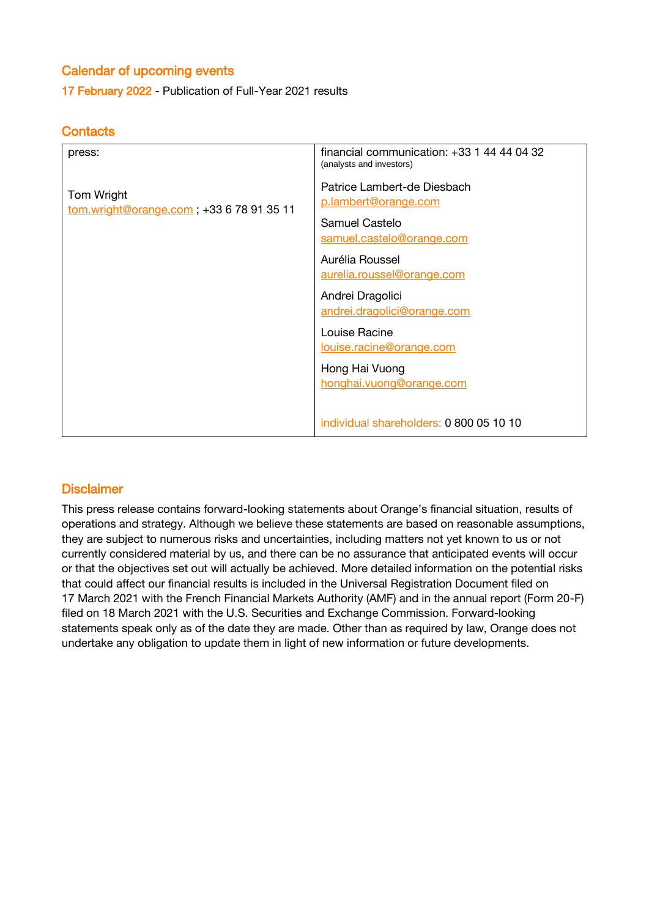## Calendar of upcoming events

17 February 2022 - Publication of Full-Year 2021 results

### **Contacts**

| press:                                                 | financial communication: $+33$ 1 44 44 04 32<br>(analysts and investors) |
|--------------------------------------------------------|--------------------------------------------------------------------------|
| Tom Wright<br>tom.wright@orange.com; +33 6 78 91 35 11 | Patrice Lambert-de Diesbach<br>p.lambert@orange.com                      |
|                                                        | Samuel Castelo<br>samuel.castelo@orange.com                              |
|                                                        | Aurélia Roussel<br>aurelia.roussel@orange.com                            |
|                                                        | Andrei Dragolici<br>andrei.dragolici@orange.com                          |
|                                                        | Louise Racine<br>louise.racine@orange.com                                |
|                                                        | Hong Hai Vuong<br>honghai.vuong@orange.com                               |
|                                                        | individual shareholders: 0 800 05 10 10                                  |

#### **Disclaimer**

This press release contains forward-looking statements about Orange's financial situation, results of operations and strategy. Although we believe these statements are based on reasonable assumptions, they are subject to numerous risks and uncertainties, including matters not yet known to us or not currently considered material by us, and there can be no assurance that anticipated events will occur or that the objectives set out will actually be achieved. More detailed information on the potential risks that could affect our financial results is included in the Universal Registration Document filed on 17 March 2021 with the French Financial Markets Authority (AMF) and in the annual report (Form 20-F) filed on 18 March 2021 with the U.S. Securities and Exchange Commission. Forward-looking statements speak only as of the date they are made. Other than as required by law, Orange does not undertake any obligation to update them in light of new information or future developments.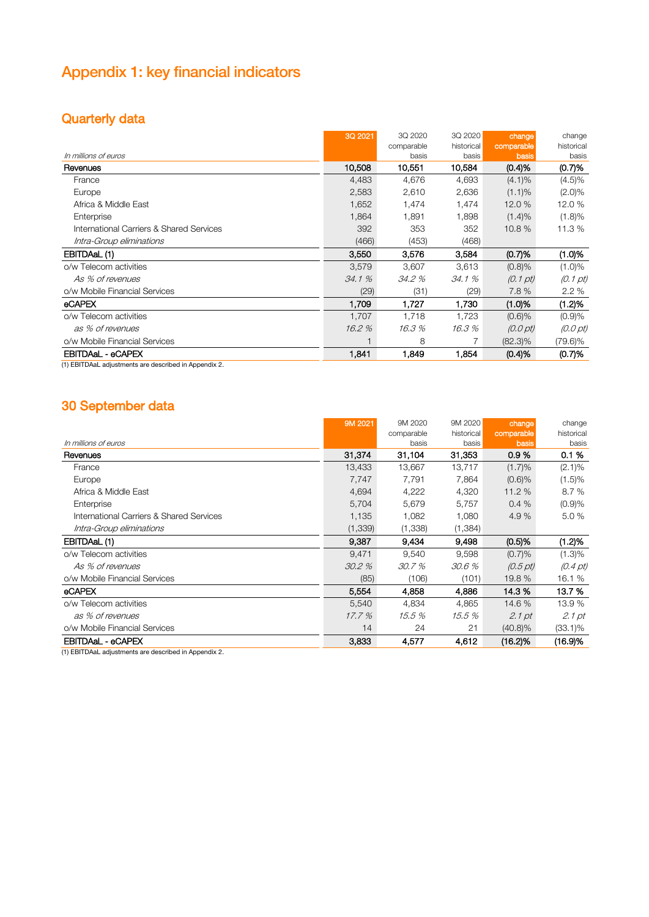# Appendix 1: key financial indicators

## Quarterly data

|                                          | 3Q 2021 | 3Q 2020    | 3Q 2020    | change             | change             |
|------------------------------------------|---------|------------|------------|--------------------|--------------------|
|                                          |         | comparable | historical | comparable         | historical         |
| In millions of euros                     |         | basis      | basis      | basis              | basis              |
| Revenues                                 | 10,508  | 10,551     | 10,584     | (0.4)%             | (0.7)%             |
| France                                   | 4,483   | 4,676      | 4,693      | $(4.1)\%$          | $(4.5)\%$          |
| Europe                                   | 2,583   | 2,610      | 2,636      | $(1.1)\%$          | $(2.0)\%$          |
| Africa & Middle East                     | 1,652   | 1,474      | 1,474      | 12.0 %             | 12.0 %             |
| Enterprise                               | 1,864   | 1,891      | 1,898      | (1.4)%             | (1.8)%             |
| International Carriers & Shared Services | 392     | 353        | 352        | 10.8 %             | 11.3 %             |
| Intra-Group eliminations                 | (466)   | (453)      | (468)      |                    |                    |
| EBITDAaL (1)                             | 3,550   | 3.576      | 3.584      | (0.7)%             | (1.0)%             |
| o/w Telecom activities                   | 3,579   | 3,607      | 3,613      | (0.8)%             | (1.0)%             |
| As % of revenues                         | 34.1%   | 34.2 %     | 34.1 %     | $(0.1 \text{ pt})$ | $(0.1 \text{ pt})$ |
| o/w Mobile Financial Services            | (29)    | (31)       | (29)       | 7.8%               | 2.2%               |
| <b>eCAPEX</b>                            | 1.709   | 1.727      | 1.730      | (1.0)%             | (1.2)%             |
| o/w Telecom activities                   | 1,707   | 1,718      | 1,723      | (0.6)%             | (0.9)%             |
| as % of revenues                         | 16.2%   | 16.3%      | 16.3%      | (0.0pt)            | $(0.0 \text{ pt})$ |
| o/w Mobile Financial Services            |         | 8          |            | $(82.3)\%$         | (79.6)%            |
| EBITDAaL - eCAPEX                        | 1.841   | 1,849      | 1,854      | (0.4)%             | (0.7)%             |

(1) EBITDAaL adjustments are described in Appendix 2.

## 30 September data

|                                          | 9M 2021  | 9M 2020    | 9M 2020    | change             | change             |
|------------------------------------------|----------|------------|------------|--------------------|--------------------|
|                                          |          | comparable | historical | comparable         | historical         |
| In millions of euros                     |          | basis      | basis      | basis              | basis              |
| Revenues                                 | 31.374   | 31,104     | 31,353     | 0.9%               | 0.1%               |
| France                                   | 13,433   | 13,667     | 13,717     | (1.7)%             | $(2.1)\%$          |
| Europe                                   | 7,747    | 7,791      | 7,864      | (0.6)%             | (1.5)%             |
| Africa & Middle East                     | 4,694    | 4,222      | 4,320      | 11.2 %             | 8.7%               |
| Enterprise                               | 5,704    | 5,679      | 5,757      | 0.4%               | (0.9)%             |
| International Carriers & Shared Services | 1,135    | 1,082      | 1,080      | 4.9%               | 5.0%               |
| Intra-Group eliminations                 | (1, 339) | (1,338)    | (1, 384)   |                    |                    |
| EBITDAaL (1)                             | 9,387    | 9,434      | 9,498      | (0.5)%             | (1.2)%             |
| o/w Telecom activities                   | 9,471    | 9.540      | 9,598      | (0.7)%             | (1.3)%             |
| As % of revenues                         | 30.2%    | 30.7%      | 30.6%      | $(0.5 \text{ pt})$ | $(0.4 \text{ pt})$ |
| o/w Mobile Financial Services            | (85)     | (106)      | (101)      | 19.8 %             | 16.1 %             |
| eCAPEX                                   | 5.554    | 4,858      | 4,886      | 14.3 %             | 13.7 %             |
| o/w Telecom activities                   | 5,540    | 4.834      | 4.865      | 14.6 %             | 13.9 %             |
| as % of revenues                         | 17.7%    | 15.5 %     | 15.5 %     | 2.1 pt             | 2.1 pt             |
| o/w Mobile Financial Services            | 14       | 24         | 21         | $(40.8)\%$         | $(33.1)\%$         |
| EBITDAaL - eCAPEX                        | 3,833    | 4,577      | 4,612      | (16.2)%            | (16.9)%            |

(1) EBITDAaL adjustments are described in Appendix 2.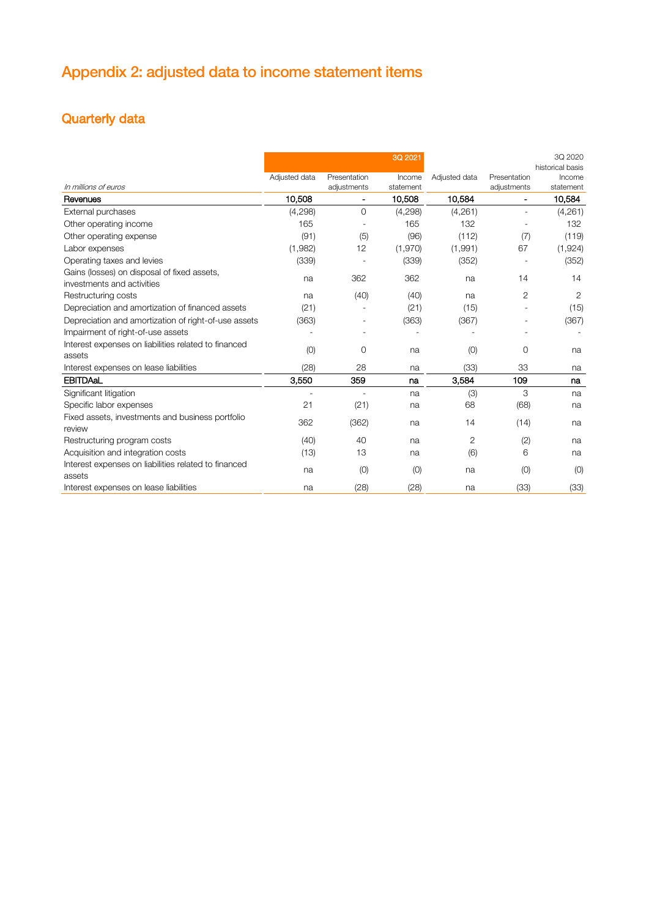# Appendix 2: adjusted data to income statement items

# Quarterly data

|                                                                           |               |                               | 3Q 2021             |               |                                             | 3Q 2020<br>historical basis |
|---------------------------------------------------------------------------|---------------|-------------------------------|---------------------|---------------|---------------------------------------------|-----------------------------|
| In millions of euros                                                      | Adjusted data | Presentation                  | Income              | Adjusted data | Presentation                                | Income                      |
| Revenues                                                                  | 10,508        | adjustments<br>$\blacksquare$ | statement<br>10,508 | 10,584        | adjustments<br>$\qquad \qquad \blacksquare$ | statement<br>10,584         |
| External purchases                                                        | (4,298)       | 0                             | (4, 298)            | (4,261)       | $\overline{a}$                              | (4,261)                     |
| Other operating income                                                    | 165           | $\overline{\phantom{a}}$      | 165                 | 132           |                                             | 132                         |
| Other operating expense                                                   | (91)          | (5)                           | (96)                | (112)         | (7)                                         | (119)                       |
| Labor expenses                                                            | (1,982)       | 12                            | (1,970)             | (1,991)       | 67                                          | (1, 924)                    |
| Operating taxes and levies                                                | (339)         |                               | (339)               | (352)         |                                             | (352)                       |
| Gains (losses) on disposal of fixed assets,<br>investments and activities | na            | 362                           | 362                 | na            | 14                                          | 14                          |
| Restructuring costs                                                       | na            | (40)                          | (40)                | na            | $\overline{2}$                              | 2                           |
| Depreciation and amortization of financed assets                          | (21)          |                               | (21)                | (15)          |                                             | (15)                        |
| Depreciation and amortization of right-of-use assets                      | (363)         |                               | (363)               | (367)         |                                             | (367)                       |
| Impairment of right-of-use assets                                         |               |                               |                     |               |                                             |                             |
| Interest expenses on liabilities related to financed                      |               |                               |                     |               |                                             |                             |
| assets                                                                    | (0)           | 0                             | na                  | (0)           | 0                                           | na                          |
| Interest expenses on lease liabilities                                    | (28)          | 28                            | na                  | (33)          | 33                                          | na                          |
| <b>EBITDAaL</b>                                                           | 3,550         | 359                           | na                  | 3,584         | 109                                         | na                          |
| Significant litigation                                                    |               |                               | na                  | (3)           | 3                                           | na                          |
| Specific labor expenses                                                   | 21            | (21)                          | na                  | 68            | (68)                                        | na                          |
| Fixed assets, investments and business portfolio                          | 362           | (362)                         | na                  | 14            | (14)                                        | na                          |
| review                                                                    |               |                               |                     |               |                                             |                             |
| Restructuring program costs                                               | (40)          | 40                            | na                  | 2             | (2)                                         | na                          |
| Acquisition and integration costs                                         | (13)          | 13                            | na                  | (6)           | 6                                           | na                          |
| Interest expenses on liabilities related to financed<br>assets            | na            | (0)                           | (0)                 | na            | (0)                                         | (0)                         |
| Interest expenses on lease liabilities                                    | na            | (28)                          | (28)                | na            | (33)                                        | (33)                        |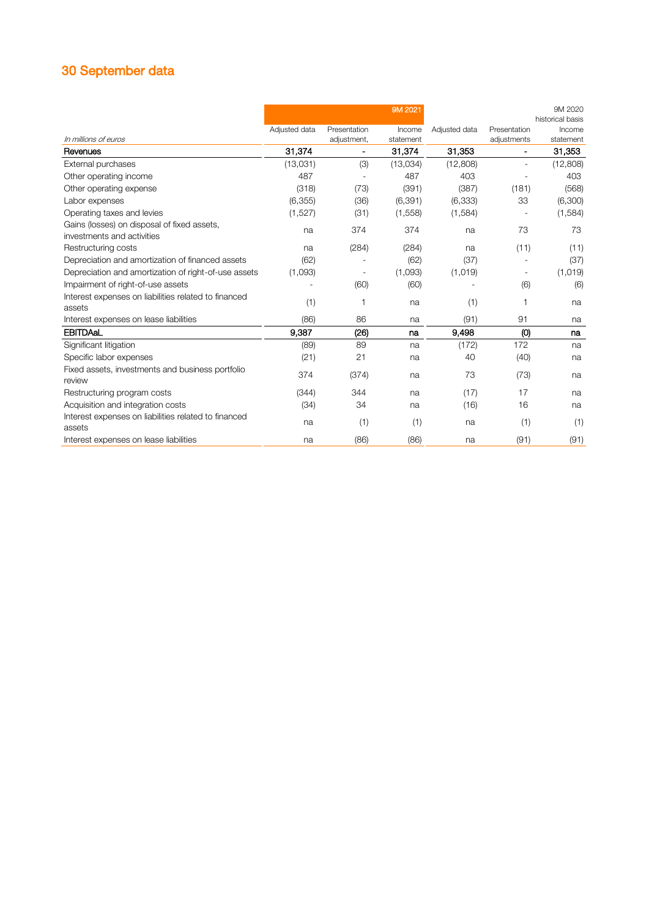# 30 September data

| In millions of euros                                                      | Adjusted data | Presentation<br>adjustment,  | 9M 2021<br>Income<br>statement | Adjusted data | Presentation<br>adjustments | 9M 2020<br>historical basis<br>Income<br>statement |
|---------------------------------------------------------------------------|---------------|------------------------------|--------------------------------|---------------|-----------------------------|----------------------------------------------------|
| Revenues                                                                  | 31,374        | $\qquad \qquad \blacksquare$ | 31,374                         | 31,353        | Ξ.                          | 31,353                                             |
| External purchases                                                        | (13,031)      | (3)                          | (13,034)                       | (12,808)      | $\overline{a}$              | (12,808)                                           |
| Other operating income                                                    | 487           |                              | 487                            | 403           |                             | 403                                                |
| Other operating expense                                                   | (318)         | (73)                         | (391)                          | (387)         | (181)                       | (568)                                              |
| Labor expenses                                                            | (6, 355)      | (36)                         | (6, 391)                       | (6, 333)      | 33                          | (6,300)                                            |
| Operating taxes and levies                                                | (1,527)       | (31)                         | (1,558)                        | (1,584)       |                             | (1,584)                                            |
| Gains (losses) on disposal of fixed assets,<br>investments and activities | na            | 374                          | 374                            | na            | 73                          | 73                                                 |
| Restructuring costs                                                       | na            | (284)                        | (284)                          | na            | (11)                        | (11)                                               |
| Depreciation and amortization of financed assets                          | (62)          |                              | (62)                           | (37)          |                             | (37)                                               |
| Depreciation and amortization of right-of-use assets                      | (1,093)       |                              | (1,093)                        | (1,019)       |                             | (1,019)                                            |
| Impairment of right-of-use assets                                         |               | (60)                         | (60)                           |               | (6)                         | (6)                                                |
| Interest expenses on liabilities related to financed<br>assets            | (1)           | 1                            | na                             | (1)           | 1                           | na                                                 |
| Interest expenses on lease liabilities                                    | (86)          | 86                           | na                             | (91)          | 91                          | na                                                 |
| EBITDAaL                                                                  | 9,387         | (26)                         | na                             | 9,498         | (0)                         | na                                                 |
| Significant litigation                                                    | (89)          | 89                           | na                             | (172)         | 172                         | na                                                 |
| Specific labor expenses                                                   | (21)          | 21                           | na                             | 40            | (40)                        | na                                                 |
| Fixed assets, investments and business portfolio                          | 374           | (374)                        | na                             | 73            | (73)                        | na                                                 |
| review                                                                    |               |                              |                                |               |                             |                                                    |
| Restructuring program costs                                               | (344)         | 344                          | na                             | (17)          | 17                          | na                                                 |
| Acquisition and integration costs                                         | (34)          | 34                           | na                             | (16)          | 16                          | na                                                 |
| Interest expenses on liabilities related to financed<br>assets            | na            | (1)                          | (1)                            | na            | (1)                         | (1)                                                |
| Interest expenses on lease liabilities                                    | na            | (86)                         | (86)                           | na            | (91)                        | (91)                                               |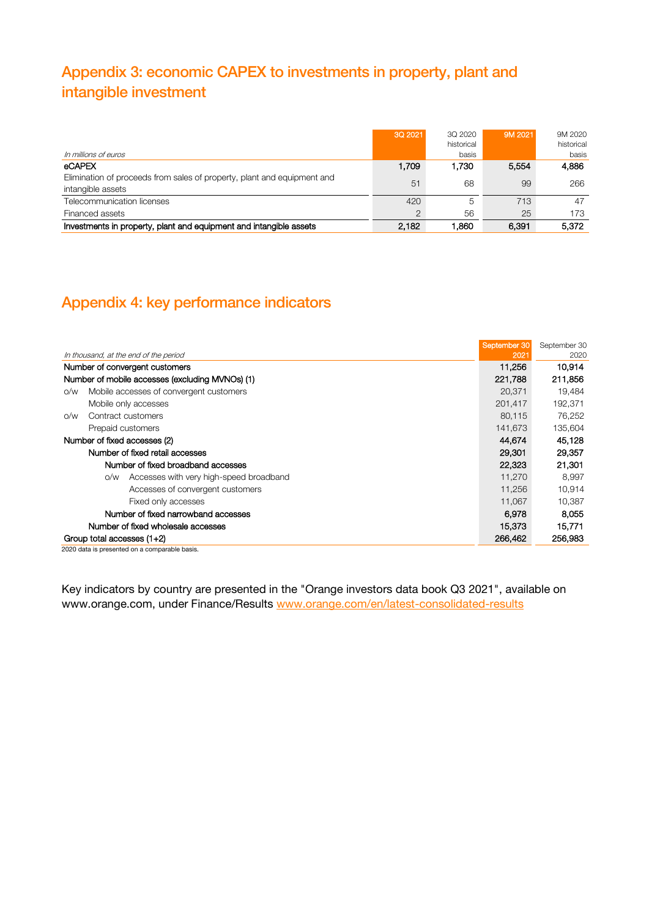# Appendix 3: economic CAPEX to investments in property, plant and intangible investment

| In millions of euros                                                                         | 30 2021 | 3Q 2020<br>historical<br>basis | 9M 2021 | 9M 2020<br>historical<br>basis |
|----------------------------------------------------------------------------------------------|---------|--------------------------------|---------|--------------------------------|
| <b>eCAPEX</b>                                                                                | .709    | .730                           | 5.554   | 4.886                          |
| Elimination of proceeds from sales of property, plant and equipment and<br>intangible assets | 51      | 68                             | 99      | 266                            |
| Telecommunication licenses                                                                   | 420     |                                | 713     |                                |
| Financed assets                                                                              |         | 56                             | 25      |                                |
| Investments in property, plant and equipment and intangible assets                           | 2.182   |                                |         | 5.372                          |

## Appendix 4: key performance indicators

|                                                 |                                                | September 30 | September 30 |
|-------------------------------------------------|------------------------------------------------|--------------|--------------|
| In thousand, at the end of the period           |                                                | 2021         | 2020         |
| Number of convergent customers                  |                                                | 11,256       | 10,914       |
| Number of mobile accesses (excluding MVNOs) (1) |                                                | 221,788      | 211,856      |
| O/W                                             | Mobile accesses of convergent customers        | 20,371       | 19.484       |
|                                                 | Mobile only accesses                           | 201,417      | 192,371      |
| O/W                                             | Contract customers                             | 80,115       | 76.252       |
|                                                 | Prepaid customers                              | 141,673      | 135,604      |
| Number of fixed accesses (2)                    |                                                | 44,674       | 45,128       |
|                                                 | Number of fixed retail accesses                | 29,301       | 29,357       |
|                                                 | Number of fixed broadband accesses             | 22,323       | 21,301       |
|                                                 | Accesses with very high-speed broadband<br>O/W | 11,270       | 8,997        |
|                                                 | Accesses of convergent customers               | 11,256       | 10,914       |
|                                                 | Fixed only accesses                            | 11,067       | 10,387       |
|                                                 | Number of fixed narrowband accesses            | 6.978        | 8.055        |
| Number of fixed wholesale accesses              |                                                | 15.373       | 15,771       |
| Group total accesses $(1+2)$                    |                                                | 266,462      | 256,983      |

2020 data is presented on a comparable basis.

Key indicators by country are presented in the "Orange investors data book Q3 2021", available on www.orange.com, under Finance/Results [www.orange.com/en/latest-consolidated-results](https://www.orange.com/en/latest-consolidated-results)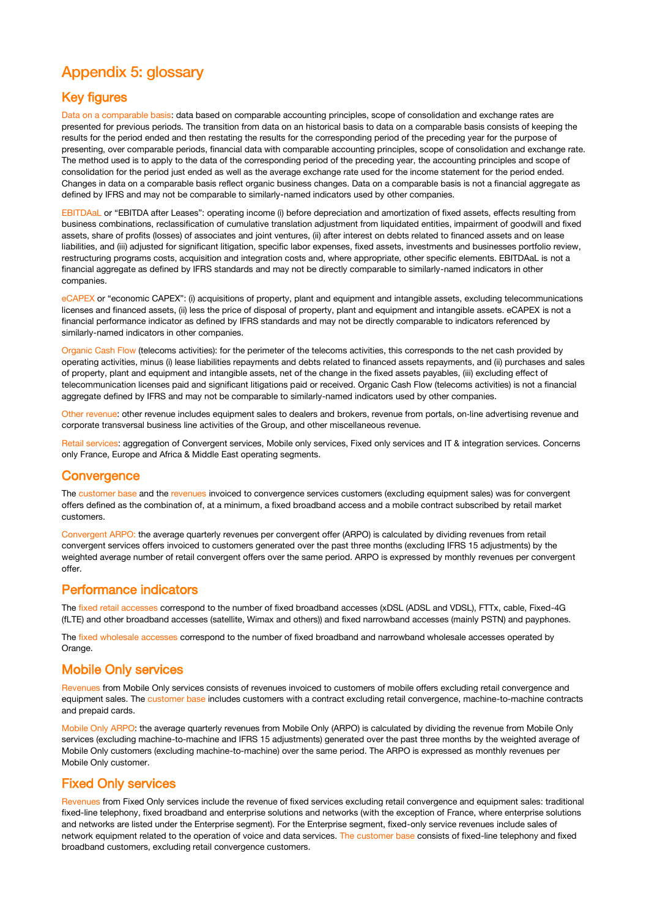## Appendix 5: glossary

#### Key figures

Data on a comparable basis: data based on comparable accounting principles, scope of consolidation and exchange rates are presented for previous periods. The transition from data on an historical basis to data on a comparable basis consists of keeping the results for the period ended and then restating the results for the corresponding period of the preceding year for the purpose of presenting, over comparable periods, financial data with comparable accounting principles, scope of consolidation and exchange rate. The method used is to apply to the data of the corresponding period of the preceding year, the accounting principles and scope of consolidation for the period just ended as well as the average exchange rate used for the income statement for the period ended. Changes in data on a comparable basis reflect organic business changes. Data on a comparable basis is not a financial aggregate as defined by IFRS and may not be comparable to similarly-named indicators used by other companies.

EBITDAaL or "EBITDA after Leases": operating income (i) before depreciation and amortization of fixed assets, effects resulting from business combinations, reclassification of cumulative translation adjustment from liquidated entities, impairment of goodwill and fixed assets, share of profits (losses) of associates and joint ventures, (ii) after interest on debts related to financed assets and on lease liabilities, and (iii) adjusted for significant litigation, specific labor expenses, fixed assets, investments and businesses portfolio review, restructuring programs costs, acquisition and integration costs and, where appropriate, other specific elements. EBITDAaL is not a financial aggregate as defined by IFRS standards and may not be directly comparable to similarly-named indicators in other companies.

eCAPEX or "economic CAPEX": (i) acquisitions of property, plant and equipment and intangible assets, excluding telecommunications licenses and financed assets, (ii) less the price of disposal of property, plant and equipment and intangible assets. eCAPEX is not a financial performance indicator as defined by IFRS standards and may not be directly comparable to indicators referenced by similarly-named indicators in other companies.

Organic Cash Flow (telecoms activities): for the perimeter of the telecoms activities, this corresponds to the net cash provided by operating activities, minus (i) lease liabilities repayments and debts related to financed assets repayments, and (ii) purchases and sales of property, plant and equipment and intangible assets, net of the change in the fixed assets payables, (iii) excluding effect of telecommunication licenses paid and significant litigations paid or received. Organic Cash Flow (telecoms activities) is not a financial aggregate defined by IFRS and may not be comparable to similarly-named indicators used by other companies.

Other revenue: other revenue includes equipment sales to dealers and brokers, revenue from portals, on-line advertising revenue and corporate transversal business line activities of the Group, and other miscellaneous revenue.

Retail services: aggregation of Convergent services, Mobile only services, Fixed only services and IT & integration services. Concerns only France, Europe and Africa & Middle East operating segments.

#### **Convergence**

The customer base and the revenues invoiced to convergence services customers (excluding equipment sales) was for convergent offers defined as the combination of, at a minimum, a fixed broadband access and a mobile contract subscribed by retail market customers.

Convergent ARPO: the average quarterly revenues per convergent offer (ARPO) is calculated by dividing revenues from retail convergent services offers invoiced to customers generated over the past three months (excluding IFRS 15 adjustments) by the weighted average number of retail convergent offers over the same period. ARPO is expressed by monthly revenues per convergent offer.

#### Performance indicators

The fixed retail accesses correspond to the number of fixed broadband accesses (xDSL (ADSL and VDSL), FTTx, cable, Fixed-4G (fLTE) and other broadband accesses (satellite, Wimax and others)) and fixed narrowband accesses (mainly PSTN) and payphones.

The fixed wholesale accesses correspond to the number of fixed broadband and narrowband wholesale accesses operated by Orange.

#### Mobile Only services

Revenues from Mobile Only services consists of revenues invoiced to customers of mobile offers excluding retail convergence and equipment sales. The customer base includes customers with a contract excluding retail convergence, machine-to-machine contracts and prepaid cards.

Mobile Only ARPO: the average quarterly revenues from Mobile Only (ARPO) is calculated by dividing the revenue from Mobile Only services (excluding machine-to-machine and IFRS 15 adjustments) generated over the past three months by the weighted average of Mobile Only customers (excluding machine-to-machine) over the same period. The ARPO is expressed as monthly revenues per Mobile Only customer.

#### Fixed Only services

Revenues from Fixed Only services include the revenue of fixed services excluding retail convergence and equipment sales: traditional fixed-line telephony, fixed broadband and enterprise solutions and networks (with the exception of France, where enterprise solutions and networks are listed under the Enterprise segment). For the Enterprise segment, fixed-only service revenues include sales of network equipment related to the operation of voice and data services. The customer base consists of fixed-line telephony and fixed broadband customers, excluding retail convergence customers.